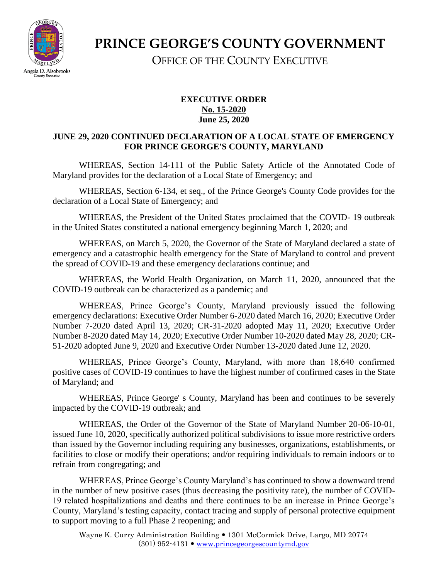

**PRINCE GEORGE'S COUNTY GOVERNMENT** OFFICE OF THE COUNTY EXECUTIVE

## **EXECUTIVE ORDER No. 15-2020 June 25, 2020**

## **JUNE 29, 2020 CONTINUED DECLARATION OF A LOCAL STATE OF EMERGENCY FOR PRINCE GEORGE'S COUNTY, MARYLAND**

WHEREAS, Section 14-111 of the Public Safety Article of the Annotated Code of Maryland provides for the declaration of a Local State of Emergency; and

WHEREAS, Section 6-134, et seq., of the Prince George's County Code provides for the declaration of a Local State of Emergency; and

WHEREAS, the President of the United States proclaimed that the COVID- 19 outbreak in the United States constituted a national emergency beginning March 1, 2020; and

WHEREAS, on March 5, 2020, the Governor of the State of Maryland declared a state of emergency and a catastrophic health emergency for the State of Maryland to control and prevent the spread of COVID-19 and these emergency declarations continue; and

WHEREAS, the World Health Organization, on March 11, 2020, announced that the COVID-19 outbreak can be characterized as a pandemic; and

WHEREAS, Prince George's County, Maryland previously issued the following emergency declarations: Executive Order Number 6-2020 dated March 16, 2020; Executive Order Number 7-2020 dated April 13, 2020; CR-31-2020 adopted May 11, 2020; Executive Order Number 8-2020 dated May 14, 2020; Executive Order Number 10-2020 dated May 28, 2020; CR-51-2020 adopted June 9, 2020 and Executive Order Number 13-2020 dated June 12, 2020.

WHEREAS, Prince George's County, Maryland, with more than 18,640 confirmed positive cases of COVID-19 continues to have the highest number of confirmed cases in the State of Maryland; and

WHEREAS, Prince George' s County, Maryland has been and continues to be severely impacted by the COVID-19 outbreak; and

WHEREAS, the Order of the Governor of the State of Maryland Number 20-06-10-01, issued June 10, 2020, specifically authorized political subdivisions to issue more restrictive orders than issued by the Governor including requiring any businesses, organizations, establishments, or facilities to close or modify their operations; and/or requiring individuals to remain indoors or to refrain from congregating; and

WHEREAS, Prince George's County Maryland's has continued to show a downward trend in the number of new positive cases (thus decreasing the positivity rate), the number of COVID-19 related hospitalizations and deaths and there continues to be an increase in Prince George's County, Maryland's testing capacity, contact tracing and supply of personal protective equipment to support moving to a full Phase 2 reopening; and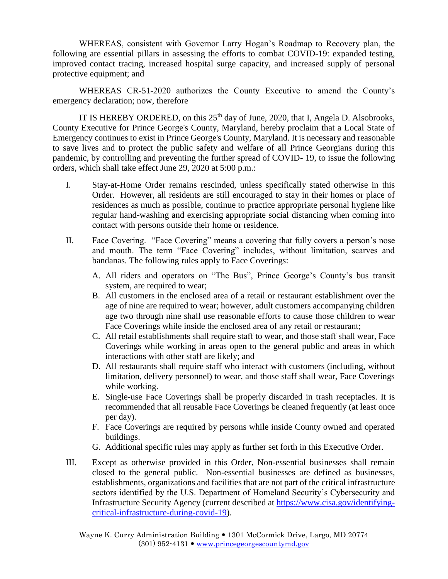WHEREAS, consistent with Governor Larry Hogan's Roadmap to Recovery plan, the following are essential pillars in assessing the efforts to combat COVID-19: expanded testing, improved contact tracing, increased hospital surge capacity, and increased supply of personal protective equipment; and

WHEREAS CR-51-2020 authorizes the County Executive to amend the County's emergency declaration; now, therefore

IT IS HEREBY ORDERED, on this  $25<sup>th</sup>$  day of June, 2020, that I, Angela D. Alsobrooks, County Executive for Prince George's County, Maryland, hereby proclaim that a Local State of Emergency continues to exist in Prince George's County, Maryland. It is necessary and reasonable to save lives and to protect the public safety and welfare of all Prince Georgians during this pandemic, by controlling and preventing the further spread of COVID- 19, to issue the following orders, which shall take effect June 29, 2020 at 5:00 p.m.:

- I. Stay-at-Home Order remains rescinded, unless specifically stated otherwise in this Order. However, all residents are still encouraged to stay in their homes or place of residences as much as possible, continue to practice appropriate personal hygiene like regular hand-washing and exercising appropriate social distancing when coming into contact with persons outside their home or residence.
- II. Face Covering. "Face Covering" means a covering that fully covers a person's nose and mouth. The term "Face Covering" includes, without limitation, scarves and bandanas. The following rules apply to Face Coverings:
	- A. All riders and operators on "The Bus", Prince George's County's bus transit system, are required to wear;
	- B. All customers in the enclosed area of a retail or restaurant establishment over the age of nine are required to wear; however, adult customers accompanying children age two through nine shall use reasonable efforts to cause those children to wear Face Coverings while inside the enclosed area of any retail or restaurant;
	- C. All retail establishments shall require staff to wear, and those staff shall wear, Face Coverings while working in areas open to the general public and areas in which interactions with other staff are likely; and
	- D. All restaurants shall require staff who interact with customers (including, without limitation, delivery personnel) to wear, and those staff shall wear, Face Coverings while working.
	- E. Single-use Face Coverings shall be properly discarded in trash receptacles. It is recommended that all reusable Face Coverings be cleaned frequently (at least once per day).
	- F. Face Coverings are required by persons while inside County owned and operated buildings.
	- G. Additional specific rules may apply as further set forth in this Executive Order.
- III. Except as otherwise provided in this Order, Non-essential businesses shall remain closed to the general public. Non-essential businesses are defined as businesses, establishments, organizations and facilities that are not part of the critical infrastructure sectors identified by the U.S. Department of Homeland Security's Cybersecurity and Infrastructure Security Agency (current described at [https://www.cisa.gov/identifying](https://www.cisa.gov/identifying-critical-infrastructure-during-covid-19)[critical-infrastructure-during-covid-19\)](https://www.cisa.gov/identifying-critical-infrastructure-during-covid-19).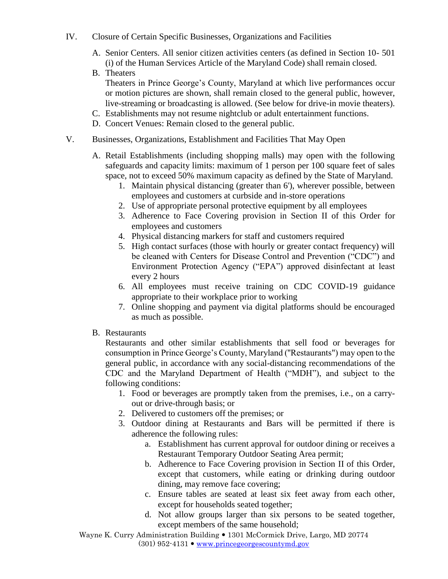- IV. Closure of Certain Specific Businesses, Organizations and Facilities
	- A. Senior Centers. All senior citizen activities centers (as defined in Section 10- 501 (i) of the Human Services Article of the Maryland Code) shall remain closed.
	- B. Theaters Theaters in Prince George's County, Maryland at which live performances occur or motion pictures are shown, shall remain closed to the general public, however, live-streaming or broadcasting is allowed. (See below for drive-in movie theaters).
	- C. Establishments may not resume nightclub or adult entertainment functions.
	- D. Concert Venues: Remain closed to the general public.
- V. Businesses, Organizations, Establishment and Facilities That May Open
	- A. Retail Establishments (including shopping malls) may open with the following safeguards and capacity limits: maximum of 1 person per 100 square feet of sales space, not to exceed 50% maximum capacity as defined by the State of Maryland.
		- 1. Maintain physical distancing (greater than 6'), wherever possible, between employees and customers at curbside and in-store operations
		- 2. Use of appropriate personal protective equipment by all employees
		- 3. Adherence to Face Covering provision in Section II of this Order for employees and customers
		- 4. Physical distancing markers for staff and customers required
		- 5. High contact surfaces (those with hourly or greater contact frequency) will be cleaned with Centers for Disease Control and Prevention ("CDC") and Environment Protection Agency ("EPA") approved disinfectant at least every 2 hours
		- 6. All employees must receive training on CDC COVID-19 guidance appropriate to their workplace prior to working
		- 7. Online shopping and payment via digital platforms should be encouraged as much as possible.
	- B. Restaurants

Restaurants and other similar establishments that sell food or beverages for consumption in Prince George's County, Maryland (''Restaurants") may open to the general public, in accordance with any social-distancing recommendations of the CDC and the Maryland Department of Health ("MDH"), and subject to the following conditions:

- 1. Food or beverages are promptly taken from the premises, i.e., on a carryout or drive-through basis; or
- 2. Delivered to customers off the premises; or
- 3. Outdoor dining at Restaurants and Bars will be permitted if there is adherence the following rules:
	- a. Establishment has current approval for outdoor dining or receives a Restaurant Temporary Outdoor Seating Area permit;
	- b. Adherence to Face Covering provision in Section II of this Order, except that customers, while eating or drinking during outdoor dining, may remove face covering;
	- c. Ensure tables are seated at least six feet away from each other, except for households seated together;
	- d. Not allow groups larger than six persons to be seated together, except members of the same household;

Wayne K. Curry Administration Building 1301 McCormick Drive, Largo, MD 20774  $(301)$  952-4131  $\bullet$  [www.princegeorgescountymd.gov](http://www.princegeorgescountymd.gov/)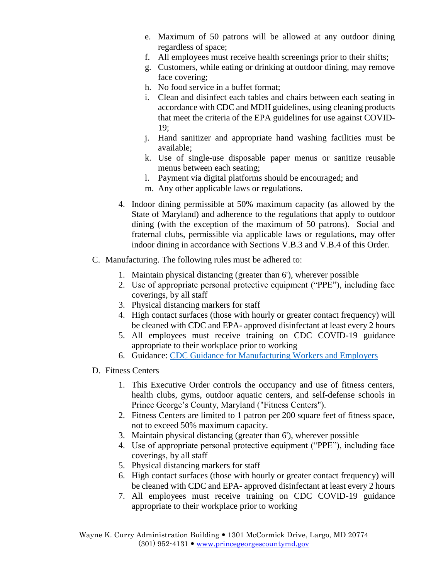- e. Maximum of 50 patrons will be allowed at any outdoor dining regardless of space;
- f. All employees must receive health screenings prior to their shifts;
- g. Customers, while eating or drinking at outdoor dining, may remove face covering;
- h. No food service in a buffet format;
- i. Clean and disinfect each tables and chairs between each seating in accordance with CDC and MDH guidelines, using cleaning products that meet the criteria of the EPA guidelines for use against COVID-19;
- j. Hand sanitizer and appropriate hand washing facilities must be available;
- k. Use of single-use disposable paper menus or sanitize reusable menus between each seating;
- l. Payment via digital platforms should be encouraged; and
- m. Any other applicable laws or regulations.
- 4. Indoor dining permissible at 50% maximum capacity (as allowed by the State of Maryland) and adherence to the regulations that apply to outdoor dining (with the exception of the maximum of 50 patrons). Social and fraternal clubs, permissible via applicable laws or regulations, may offer indoor dining in accordance with Sections V.B.3 and V.B.4 of this Order.
- C. Manufacturing. The following rules must be adhered to:
	- 1. Maintain physical distancing (greater than 6'), wherever possible
	- 2. Use of appropriate personal protective equipment ("PPE"), including face coverings, by all staff
	- 3. Physical distancing markers for staff
	- 4. High contact surfaces (those with hourly or greater contact frequency) will be cleaned with CDC and EPA- approved disinfectant at least every 2 hours
	- 5. All employees must receive training on CDC COVID-19 guidance appropriate to their workplace prior to working
	- 6. Guidance: [CDC Guidance for Manufacturing Workers and Employers](https://www.cdc.gov/coronavirus/2019-ncov/community/guidance-manufacturing-workers-employers.html)
- D. Fitness Centers
	- 1. This Executive Order controls the occupancy and use of fitness centers, health clubs, gyms, outdoor aquatic centers, and self-defense schools in Prince George's County, Maryland ("Fitness Centers").
	- 2. Fitness Centers are limited to 1 patron per 200 square feet of fitness space, not to exceed 50% maximum capacity.
	- 3. Maintain physical distancing (greater than 6'), wherever possible
	- 4. Use of appropriate personal protective equipment ("PPE"), including face coverings, by all staff
	- 5. Physical distancing markers for staff
	- 6. High contact surfaces (those with hourly or greater contact frequency) will be cleaned with CDC and EPA- approved disinfectant at least every 2 hours
	- 7. All employees must receive training on CDC COVID-19 guidance appropriate to their workplace prior to working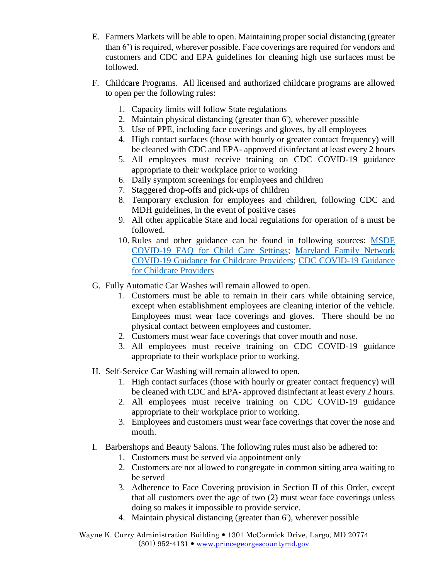- E. Farmers Markets will be able to open. Maintaining proper social distancing (greater than 6') is required, wherever possible. Face coverings are required for vendors and customers and CDC and EPA guidelines for cleaning high use surfaces must be followed.
- F. Childcare Programs. All licensed and authorized childcare programs are allowed to open per the following rules:
	- 1. Capacity limits will follow State regulations
	- 2. Maintain physical distancing (greater than 6'), wherever possible
	- 3. Use of PPE, including face coverings and gloves, by all employees
	- 4. High contact surfaces (those with hourly or greater contact frequency) will be cleaned with CDC and EPA- approved disinfectant at least every 2 hours
	- 5. All employees must receive training on CDC COVID-19 guidance appropriate to their workplace prior to working
	- 6. Daily symptom screenings for employees and children
	- 7. Staggered drop-offs and pick-ups of children
	- 8. Temporary exclusion for employees and children, following CDC and MDH guidelines, in the event of positive cases
	- 9. All other applicable State and local regulations for operation of a must be followed.
	- 10. Rules and other guidance can be found in following sources: [MSDE](https://earlychildhood.marylandpublicschools.org/covid-faqs)  [COVID-19 FAQ for Child Care Settings;](https://earlychildhood.marylandpublicschools.org/covid-faqs) [Maryland Family Network](https://www.marylandfamilynetwork.org/for-providers/support-for-child-care-providers-during-covid-19-pandemic)  [COVID-19 Guidance for Childcare Providers;](https://www.marylandfamilynetwork.org/for-providers/support-for-child-care-providers-during-covid-19-pandemic) [CDC COVID-19 Guidance](https://www.cdc.gov/coronavirus/2019-ncov/community/schools-childcare/guidance-for-childcare.html)  [for Childcare Providers](https://www.cdc.gov/coronavirus/2019-ncov/community/schools-childcare/guidance-for-childcare.html)
- G. Fully Automatic Car Washes will remain allowed to open.
	- 1. Customers must be able to remain in their cars while obtaining service, except when establishment employees are cleaning interior of the vehicle. Employees must wear face coverings and gloves. There should be no physical contact between employees and customer.
	- 2. Customers must wear face coverings that cover mouth and nose.
	- 3. All employees must receive training on CDC COVID-19 guidance appropriate to their workplace prior to working.
- H. Self-Service Car Washing will remain allowed to open.
	- 1. High contact surfaces (those with hourly or greater contact frequency) will be cleaned with CDC and EPA- approved disinfectant at least every 2 hours.
	- 2. All employees must receive training on CDC COVID-19 guidance appropriate to their workplace prior to working.
	- 3. Employees and customers must wear face coverings that cover the nose and mouth.
- I. Barbershops and Beauty Salons. The following rules must also be adhered to:
	- 1. Customers must be served via appointment only
	- 2. Customers are not allowed to congregate in common sitting area waiting to be served
	- 3. Adherence to Face Covering provision in Section II of this Order, except that all customers over the age of two (2) must wear face coverings unless doing so makes it impossible to provide service.
	- 4. Maintain physical distancing (greater than 6'), wherever possible

Wayne K. Curry Administration Building 1301 McCormick Drive, Largo, MD 20774  $(301)$  952-4131  $\bullet$  [www.princegeorgescountymd.gov](http://www.princegeorgescountymd.gov/)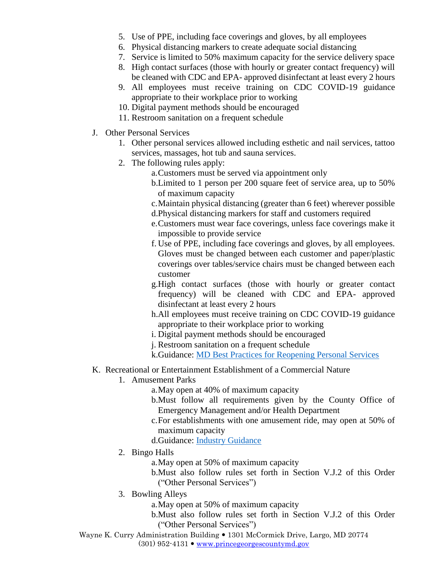- 5. Use of PPE, including face coverings and gloves, by all employees
- 6. Physical distancing markers to create adequate social distancing
- 7. Service is limited to 50% maximum capacity for the service delivery space
- 8. High contact surfaces (those with hourly or greater contact frequency) will be cleaned with CDC and EPA- approved disinfectant at least every 2 hours
- 9. All employees must receive training on CDC COVID-19 guidance appropriate to their workplace prior to working
- 10. Digital payment methods should be encouraged
- 11. Restroom sanitation on a frequent schedule
- J. Other Personal Services
	- 1. Other personal services allowed including esthetic and nail services, tattoo services, massages, hot tub and sauna services.
	- 2. The following rules apply:
		- a.Customers must be served via appointment only
		- b.Limited to 1 person per 200 square feet of service area, up to 50% of maximum capacity
		- c.Maintain physical distancing (greater than 6 feet) wherever possible
		- d.Physical distancing markers for staff and customers required
		- e.Customers must wear face coverings, unless face coverings make it impossible to provide service
		- f. Use of PPE, including face coverings and gloves, by all employees. Gloves must be changed between each customer and paper/plastic coverings over tables/service chairs must be changed between each customer
		- g.High contact surfaces (those with hourly or greater contact frequency) will be cleaned with CDC and EPA- approved disinfectant at least every 2 hours
		- h.All employees must receive training on CDC COVID-19 guidance appropriate to their workplace prior to working
		- i. Digital payment methods should be encouraged
		- j. Restroom sanitation on a frequent schedule
		- k.Guidance: [MD Best Practices for Reopening Personal Services](https://open.maryland.gov/backtobusiness/)
- K. Recreational or Entertainment Establishment of a Commercial Nature
	- 1. Amusement Parks
		- a.May open at 40% of maximum capacity
		- b.Must follow all requirements given by the County Office of Emergency Management and/or Health Department
		- c.For establishments with one amusement ride, may open at 50% of maximum capacity
		- d.Guidance: [Industry Guidance](https://www.iaapa.org/sites/default/files/2020-05/IAAPA_COVID-19_ReopeningGuidance_rev1_final.pdf)
	- 2. Bingo Halls
		- a.May open at 50% of maximum capacity
		- b.Must also follow rules set forth in Section V.J.2 of this Order ("Other Personal Services")
	- 3. Bowling Alleys
		- a.May open at 50% of maximum capacity
		- b.Must also follow rules set forth in Section V.J.2 of this Order ("Other Personal Services")
- Wayne K. Curry Administration Building 1301 McCormick Drive, Largo, MD 20774  $(301)$  952-4131  $\bullet$  [www.princegeorgescountymd.gov](http://www.princegeorgescountymd.gov/)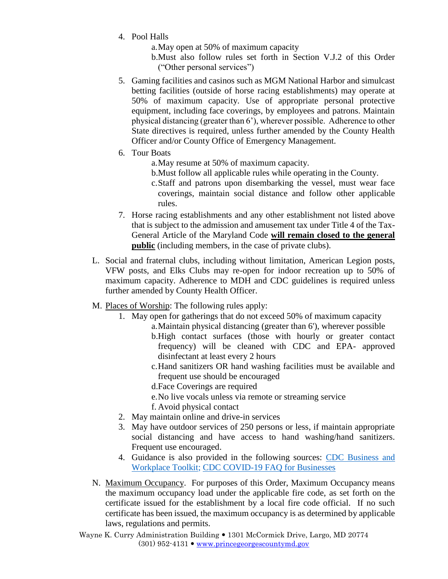- 4. Pool Halls
	- a.May open at 50% of maximum capacity
	- b.Must also follow rules set forth in Section V.J.2 of this Order ("Other personal services")
- 5. Gaming facilities and casinos such as MGM National Harbor and simulcast betting facilities (outside of horse racing establishments) may operate at 50% of maximum capacity. Use of appropriate personal protective equipment, including face coverings, by employees and patrons. Maintain physical distancing (greater than 6'), wherever possible. Adherence to other State directives is required, unless further amended by the County Health Officer and/or County Office of Emergency Management.
- 6. Tour Boats
	- a.May resume at 50% of maximum capacity.
	- b.Must follow all applicable rules while operating in the County.
	- c.Staff and patrons upon disembarking the vessel, must wear face coverings, maintain social distance and follow other applicable rules.
- 7. Horse racing establishments and any other establishment not listed above that is subject to the admission and amusement tax under Title 4 of the Tax-General Article of the Maryland Code **will remain closed to the general public** (including members, in the case of private clubs).
- L. Social and fraternal clubs, including without limitation, American Legion posts, VFW posts, and Elks Clubs may re-open for indoor recreation up to 50% of maximum capacity. Adherence to MDH and CDC guidelines is required unless further amended by County Health Officer.
- M. Places of Worship: The following rules apply:
	- 1. May open for gatherings that do not exceed 50% of maximum capacity
		- a.Maintain physical distancing (greater than 6'), wherever possible
			- b.High contact surfaces (those with hourly or greater contact frequency) will be cleaned with CDC and EPA- approved disinfectant at least every 2 hours
			- c.Hand sanitizers OR hand washing facilities must be available and frequent use should be encouraged
			- d.Face Coverings are required
			- e.No live vocals unless via remote or streaming service
			- f. Avoid physical contact
	- 2. May maintain online and drive-in services
	- 3. May have outdoor services of 250 persons or less, if maintain appropriate social distancing and have access to hand washing/hand sanitizers. Frequent use encouraged.
	- 4. Guidance is also provided in the following sources: [CDC Business and](https://www.cdc.gov/coronavirus/2019-ncov/community/organizations/businesses-employers.html)  [Workplace Toolkit;](https://www.cdc.gov/coronavirus/2019-ncov/community/organizations/businesses-employers.html) [CDC COVID-19 FAQ for Businesses](https://www.cdc.gov/coronavirus/2019-ncov/community/general-business-faq.html)
- N. Maximum Occupancy. For purposes of this Order, Maximum Occupancy means the maximum occupancy load under the applicable fire code, as set forth on the certificate issued for the establishment by a local fire code official. If no such certificate has been issued, the maximum occupancy is as determined by applicable laws, regulations and permits.
- Wayne K. Curry Administration Building 1301 McCormick Drive, Largo, MD 20774  $(301)$  952-4131  $\bullet$  [www.princegeorgescountymd.gov](http://www.princegeorgescountymd.gov/)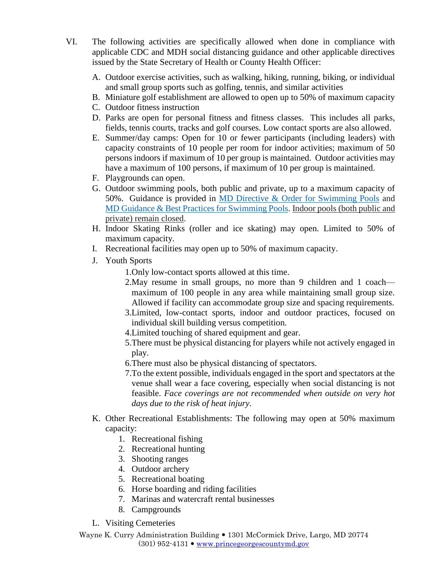- VI. The following activities are specifically allowed when done in compliance with applicable CDC and MDH social distancing guidance and other applicable directives issued by the State Secretary of Health or County Health Officer:
	- A. Outdoor exercise activities, such as walking, hiking, running, biking, or individual and small group sports such as golfing, tennis, and similar activities
	- B. Miniature golf establishment are allowed to open up to 50% of maximum capacity
	- C. Outdoor fitness instruction
	- D. Parks are open for personal fitness and fitness classes. This includes all parks, fields, tennis courts, tracks and golf courses. Low contact sports are also allowed.
	- E. Summer/day camps: Open for 10 or fewer participants (including leaders) with capacity constraints of 10 people per room for indoor activities; maximum of 50 persons indoors if maximum of 10 per group is maintained. Outdoor activities may have a maximum of 100 persons, if maximum of 10 per group is maintained.
	- F. Playgrounds can open.
	- G. Outdoor swimming pools, both public and private, up to a maximum capacity of 50%. Guidance is provided in [MD Directive & Order for Swimming Pools](https://phpa.health.maryland.gov/Documents/2020.05.27.01%20-%20MDH%20Order%20-%20Pools%20Order.pdf) and [MD Guidance & Best Practices for Swimming Pools.](https://commerce.maryland.gov/Documents/BusinessResource/Swimming-Pools-COVID-19-Directives.pdf) Indoor pools (both public and private) remain closed.
	- H. Indoor Skating Rinks (roller and ice skating) may open. Limited to 50% of maximum capacity.
	- I. Recreational facilities may open up to 50% of maximum capacity.
	- J. Youth Sports

1.Only low-contact sports allowed at this time.

- 2.May resume in small groups, no more than 9 children and 1 coach maximum of 100 people in any area while maintaining small group size. Allowed if facility can accommodate group size and spacing requirements.
- 3.Limited, low-contact sports, indoor and outdoor practices, focused on individual skill building versus competition.
- 4.Limited touching of shared equipment and gear.
- 5.There must be physical distancing for players while not actively engaged in play.
- 6.There must also be physical distancing of spectators.
- 7.To the extent possible, individuals engaged in the sport and spectators at the venue shall wear a face covering, especially when social distancing is not feasible. *Face coverings are not recommended when outside on very hot days due to the risk of heat injury.*
- K. Other Recreational Establishments: The following may open at 50% maximum capacity:
	- 1. Recreational fishing
	- 2. Recreational hunting
	- 3. Shooting ranges
	- 4. Outdoor archery
	- 5. Recreational boating
	- 6. Horse boarding and riding facilities
	- 7. Marinas and watercraft rental businesses
	- 8. Campgrounds
- L. Visiting Cemeteries
- Wayne K. Curry Administration Building 1301 McCormick Drive, Largo, MD 20774  $(301)$  952-4131  $\bullet$  [www.princegeorgescountymd.gov](http://www.princegeorgescountymd.gov/)